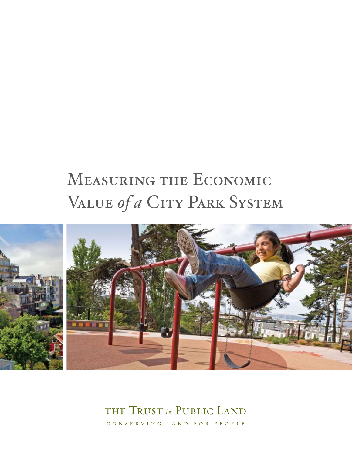# Measuring the Economic VALUE of a CITY PARK SYSTEM



### THE TRUST for PUBLIC LAND

CONSERVING LAND FOR PEOPLE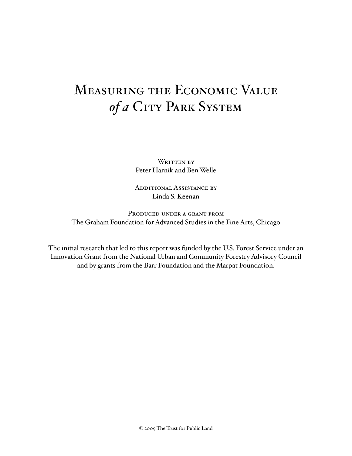# Measuring the Economic Value of a City Park System

WRITTEN BY Peter Harnik and Ben Welle

Additional Assistance by Linda S. Keenan

PRODUCED UNDER A GRANT FROM The Graham Foundation for Advanced Studies in the Fine Arts, Chicago

The initial research that led to this report was funded by the U.S. Forest Service under an Innovation Grant from the National Urban and Community Forestry Advisory Council and by grants from the Barr Foundation and the Marpat Foundation.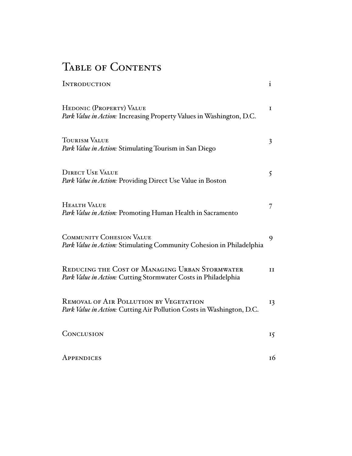### TABLE OF CONTENTS

| <b>INTRODUCTION</b>                                                                                              | $\mathbf{i}$   |
|------------------------------------------------------------------------------------------------------------------|----------------|
| HEDONIC (PROPERTY) VALUE<br>Park Value in Action: Increasing Property Values in Washington, D.C.                 | $\mathbf I$    |
| <b>TOURISM VALUE</b><br>Park Value in Action: Stimulating Tourism in San Diego                                   | $\overline{3}$ |
| <b>DIRECT USE VALUE</b><br>Park Value in Action: Providing Direct Use Value in Boston                            | 5              |
| <b>HEALTH VALUE</b><br>Park Value in Action: Promoting Human Health in Sacramento                                | 7              |
| <b>COMMUNITY COHESION VALUE</b><br>Park Value in Action: Stimulating Community Cohesion in Philadelphia          | 9              |
| REDUCING THE COST OF MANAGING URBAN STORMWATER<br>Park Value in Action: Cutting Stormwater Costs in Philadelphia | II             |
| REMOVAL OF AIR POLLUTION BY VEGETATION<br>Park Value in Action: Cutting Air Pollution Costs in Washington, D.C.  | 13             |
| CONCLUSION                                                                                                       | 15             |
| APPENDICES                                                                                                       | 16             |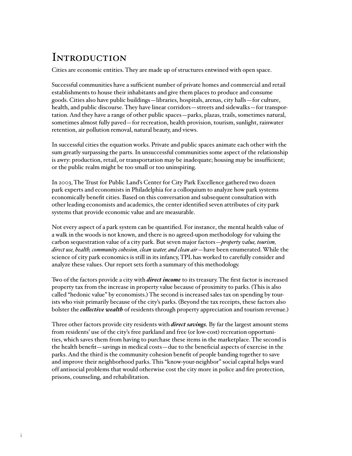### **INTRODUCTION**

Cities are economic entities. They are made up of structures entwined with open space.

Successful communities have a sufficient number of private homes and commercial and retail establishments to house their inhabitants and give them places to produce and consume goods. Cities also have public buildings—libraries, hospitals, arenas, city halls—for culture, health, and public discourse. They have linear corridors—streets and sidewalks—for transportation. And they have a range of other public spaces—parks, plazas, trails, sometimes natural, sometimes almost fully paved—for recreation, health provision, tourism, sunlight, rainwater retention, air pollution removal, natural beauty, and views.

In successful cities the equation works. Private and public spaces animate each other with the sum greatly surpassing the parts. In unsuccessful communities some aspect of the relationship is awry: production, retail, or transportation may be inadequate; housing may be insufficient; or the public realm might be too small or too uninspiring.

In 2003, The Trust for Public Land's Center for City Park Excellence gathered two dozen park experts and economists in Philadelphia for a colloquium to analyze how park systems economically benefit cities. Based on this conversation and subsequent consultation with other leading economists and academics, the center identified seven attributes of city park systems that provide economic value and are measurable.

Not every aspect of a park system can be quantified. For instance, the mental health value of a walk in the woods is not known, and there is no agreed-upon methodology for valuing the carbon sequestration value of a city park. But seven major factors—*property value, tourism, direct use, health, community cohesion, clean water, and clean air*—have been enumerated. While the science of city park economics is still in its infancy, TPL has worked to carefully consider and analyze these values. Our report sets forth a summary of this methodology.

Two of the factors provide a city with *direct income* to its treasury. The first factor is increased property tax from the increase in property value because of proximity to parks. (This is also called "hedonic value" by economists.) The second is increased sales tax on spending by tourists who visit primarily because of the city's parks. (Beyond the tax receipts, these factors also bolster the *collective wealth* of residents through property appreciation and tourism revenue.)

Three other factors provide city residents with *direct savings.* By far the largest amount stems from residents' use of the city's free parkland and free (or low-cost) recreation opportunities, which saves them from having to purchase these items in the marketplace. The second is the health benefit—savings in medical costs—due to the beneficial aspects of exercise in the parks. And the third is the community cohesion benefit of people banding together to save and improve their neighborhood parks. This "know-your-neighbor" social capital helps ward off antisocial problems that would otherwise cost the city more in police and fire protection, prisons, counseling, and rehabilitation.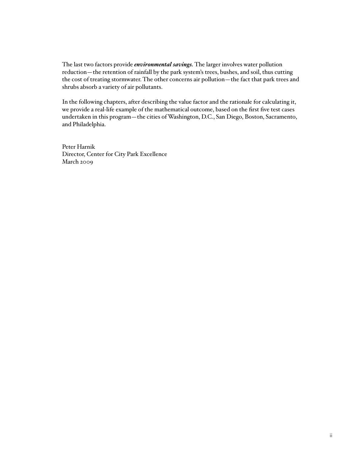The last two factors provide *environmental savings.* The larger involves water pollution reduction—the retention of rainfall by the park system's trees, bushes, and soil, thus cutting the cost of treating stormwater. The other concerns air pollution—the fact that park trees and shrubs absorb a variety of air pollutants.

In the following chapters, after describing the value factor and the rationale for calculating it, we provide a real-life example of the mathematical outcome, based on the first five test cases undertaken in this program—the cities of Washington, D.C., San Diego, Boston, Sacramento, and Philadelphia.

Peter Harnik Director, Center for City Park Excellence March 2009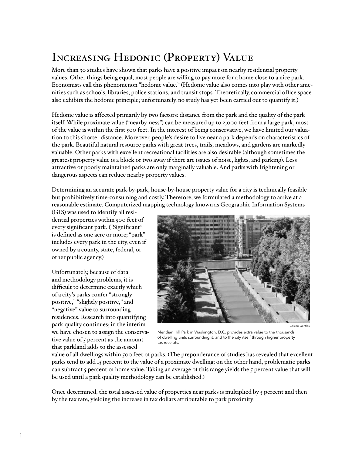# Increasing Hedonic (Property) Value

More than 30 studies have shown that parks have a positive impact on nearby residential property values. Other things being equal, most people are willing to pay more for a home close to a nice park. Economists call this phenomenon "hedonic value." (Hedonic value also comes into play with other amenities such as schools, libraries, police stations, and transit stops. Theoretically, commercial office space also exhibits the hedonic principle; unfortunately, no study has yet been carried out to quantify it.)

Hedonic value is affected primarily by two factors: distance from the park and the quality of the park itself. While proximate value ("nearby-ness") can be measured up to 2,000 feet from a large park, most of the value is within the first 500 feet. In the interest of being conservative, we have limited our valuation to this shorter distance. Moreover, people's desire to live near a park depends on characteristics of the park. Beautiful natural resource parks with great trees, trails, meadows, and gardens are markedly valuable. Other parks with excellent recreational facilities are also desirable (although sometimes the greatest property value is a block or two away if there are issues of noise, lights, and parking). Less attractive or poorly maintained parks are only marginally valuable. And parks with frightening or dangerous aspects can reduce nearby property values.

Determining an accurate park-by-park, house-by-house property value for a city is technically feasible but prohibitively time-consuming and costly. Therefore, we formulated a methodology to arrive at a reasonable estimate. Computerized mapping technology known as Geographic Information Systems

(GIS) was used to identify all residential properties within 500 feet of every significant park. ("Significant" is defined as one acre or more; "park" includes every park in the city, even if owned by a county, state, federal, or other public agency.)

Unfortunately, because of data and methodology problems, it is difficult to determine exactly which of a city's parks confer "strongly positive," "slightly positive," and "negative" value to surrounding residences. Research into quantifying park quality continues; in the interim we have chosen to assign the conservative value of 5 percent as the amount that parkland adds to the assessed



Meridian Hill Park in Washington, D.C. provides extra value to the thousands of dwelling units surrounding it, and to the city itself through higher property tax receipts.

value of all dwellings within 500 feet of parks. (The preponderance of studies has revealed that excellent parks tend to add 15 percent to the value of a proximate dwelling; on the other hand, problematic parks can subtract 5 percent of home value. Taking an average of this range yields the 5 percent value that will be used until a park quality methodology can be established.)

Once determined, the total assessed value of properties near parks is multiplied by 5 percent and then by the tax rate, yielding the increase in tax dollars attributable to park proximity.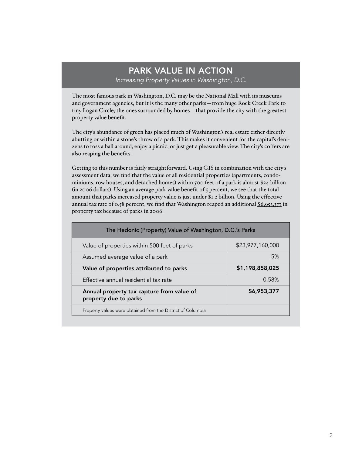#### PARK VALUE IN ACTION *Increasing Property Values in Washington, D.C.*

The most famous park in Washington, D.C. may be the National Mall with its museums and government agencies, but it is the many other parks—from huge Rock Creek Park to tiny Logan Circle, the ones surrounded by homes—that provide the city with the greatest property value benefit.

The city's abundance of green has placed much of Washington's real estate either directly abutting or within a stone's throw of a park. This makes it convenient for the capital's denizens to toss a ball around, enjoy a picnic, or just get a pleasurable view. The city's coffers are also reaping the benefits.

Getting to this number is fairly straightforward. Using GIS in combination with the city's assessment data, we find that the value of all residential properties (apartments, condominiums, row houses, and detached homes) within 500 feet of a park is almost \$24 billion (in 2006 dollars). Using an average park value benefit of  $\zeta$  percent, we see that the total amount that parks increased property value is just under \$1.2 billion. Using the effective annual tax rate of 0.58 percent, we find that Washington reaped an additional \$6,953,377 in property tax because of parks in 2006.

| The Hedonic (Property) Value of Washington, D.C.'s Parks           |                  |  |
|--------------------------------------------------------------------|------------------|--|
| Value of properties within 500 feet of parks                       | \$23,977,160,000 |  |
| Assumed average value of a park                                    | 5%               |  |
| Value of properties attributed to parks                            | \$1,198,858,025  |  |
| Effective annual residential tax rate                              | 0.58%            |  |
| Annual property tax capture from value of<br>property due to parks | \$6,953,377      |  |
| Property values were obtained from the District of Columbia        |                  |  |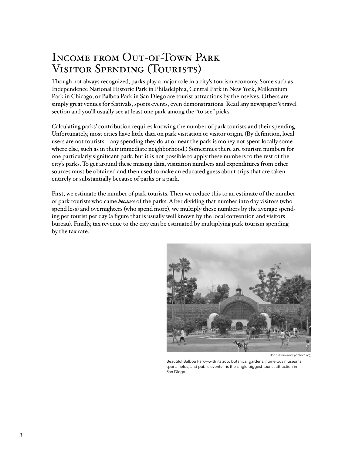### Income from Out-of-Town Park Visitor Spending (Tourists)

Though not always recognized, parks play a major role in a city's tourism economy. Some such as Independence National Historic Park in Philadelphia, Central Park in New York, Millennium Park in Chicago, or Balboa Park in San Diego are tourist attractions by themselves. Others are simply great venues for festivals, sports events, even demonstrations. Read any newspaper's travel section and you'll usually see at least one park among the "to see" picks.

Calculating parks' contribution requires knowing the number of park tourists and their spending. Unfortunately, most cities have little data on park visitation or visitor origin. (By definition, local users are not tourists—any spending they do at or near the park is money not spent locally somewhere else, such as in their immediate neighborhood.) Sometimes there are tourism numbers for one particularly significant park, but it is not possible to apply these numbers to the rest of the city's parks. To get around these missing data, visitation numbers and expenditures from other sources must be obtained and then used to make an educated guess about trips that are taken entirely or substantially because of parks or a park.

First, we estimate the number of park tourists. Then we reduce this to an estimate of the number of park tourists who came *because* of the parks. After dividing that number into day visitors (who spend less) and overnighters (who spend more), we multiply these numbers by the average spending per tourist per day (a figure that is usually well known by the local convention and visitors bureau). Finally, tax revenue to the city can be estimated by multiplying park tourism spending by the tax rate.



Jon Sullivan (w

Beautiful Balboa Park—with its zoo, botanical gardens, numerous museums, sports fields, and public events—is the single biggest tourist attraction in San Diego.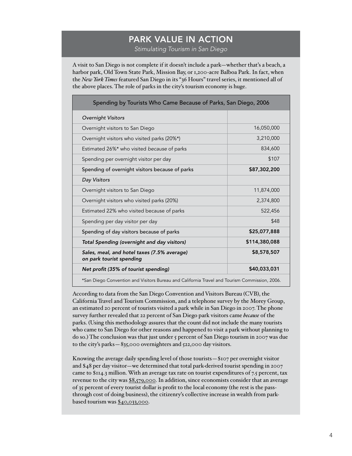### PARK VALUE IN ACTION

*Stimulating Tourism in San Diego*

A visit to San Diego is not complete if it doesn't include a park—whether that's a beach, a harbor park, Old Town State Park, Mission Bay, or 1,200-acre Balboa Park. In fact, when the *New York Times* featured San Diego in its "36 Hours" travel series, it mentioned all of the above places. The role of parks in the city's tourism economy is huge.

| Spending by Tourists Who Came Because of Parks, San Diego, 2006                               |               |  |
|-----------------------------------------------------------------------------------------------|---------------|--|
| <b>Overnight Visitors</b>                                                                     |               |  |
| Overnight visitors to San Diego                                                               | 16,050,000    |  |
| Overnight visitors who visited parks (20%*)                                                   | 3,210,000     |  |
| Estimated 26%* who visited because of parks                                                   | 834,600       |  |
| Spending per overnight visitor per day                                                        | \$107         |  |
| Spending of overnight visitors because of parks                                               | \$87,302,200  |  |
| Day Visitors                                                                                  |               |  |
| Overnight visitors to San Diego                                                               | 11,874,000    |  |
| Overnight visitors who visited parks (20%)                                                    | 2,374,800     |  |
| Estimated 22% who visited because of parks                                                    | 522,456       |  |
| Spending per day visitor per day                                                              | \$48          |  |
| Spending of day visitors because of parks                                                     | \$25,077,888  |  |
| Total Spending (overnight and day visitors)                                                   | \$114,380,088 |  |
| Sales, meal, and hotel taxes (7.5% average)<br>on park tourist spending                       | \$8,578,507   |  |
| Net profit (35% of tourist spending)                                                          | \$40,033,031  |  |
| *San Diego Convention and Visitors Bureau and California Travel and Tourism Commission, 2006. |               |  |

According to data from the San Diego Convention and Visitors Bureau (CVB), the California Travel and Tourism Commission, and a telephone survey by the Morey Group, an estimated 20 percent of tourists visited a park while in San Diego in 2007. The phone survey further revealed that 22 percent of San Diego park visitors came *because* of the parks. (Using this methodology assures that the count did not include the many tourists who came to San Diego for other reasons and happened to visit a park without planning to do so.) The conclusion was that just under 5 percent of San Diego tourism in 2007 was due to the city's parks—835,000 overnighters and 522,000 day visitors.

Knowing the average daily spending level of those tourists—\$107 per overnight visitor and \$48 per day visitor—we determined that total park-derived tourist spending in 2007 came to  $$114.3$  million. With an average tax rate on tourist expenditures of 7.5 percent, tax revenue to the city was \$8,579,000. In addition, since economists consider that an average of 35 percent of every tourist dollar is profit to the local economy (the rest is the passthrough cost of doing business), the citizenry's collective increase in wealth from parkbased tourism was \$40,033,000.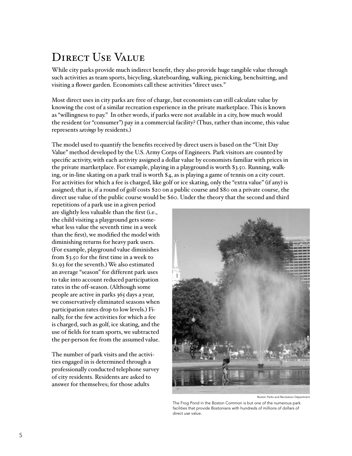### DIRECT USE VALUE

While city parks provide much indirect benefit, they also provide huge tangible value through such activities as team sports, bicycling, skateboarding, walking, picnicking, benchsitting, and visiting a flower garden. Economists call these activities "direct uses."

Most direct uses in city parks are free of charge, but economists can still calculate value by knowing the cost of a similar recreation experience in the private marketplace. This is known as "willingness to pay." In other words, if parks were not available in a city, how much would the resident (or "consumer") pay in a commercial facility? (Thus, rather than income, this value represents *savings* by residents.)

The model used to quantify the benefits received by direct users is based on the "Unit Day Value" method developed by the U.S. Army Corps of Engineers. Park visitors are counted by specific activity, with each activity assigned a dollar value by economists familiar with prices in the private martketplace. For example, playing in a playground is worth \$3.50. Running, walking, or in-line skating on a park trail is worth \$4, as is playing a game of tennis on a city court. For activities for which a fee is charged, like golf or ice skating, only the "extra value" (if any) is assigned; that is, if a round of golf costs \$20 on a public course and \$80 on a private course, the direct use value of the public course would be \$60. Under the theory that the second and third

repetitions of a park use in a given period are slightly less valuable than the first (i.e., the child visiting a playground gets somewhat less value the seventh time in a week than the first), we modified the model with diminishing returns for heavy park users. (For example, playground value diminishes from \$3.50 for the first time in a week to \$1.93 for the seventh.) We also estimated an average "season" for different park uses to take into account reduced participation rates in the off-season. (Although some people are active in parks 365 days a year, we conservatively eliminated seasons when participation rates drop to low levels.) Finally, for the few activities for which a fee is charged, such as golf, ice skating, and the use of fields for team sports, we subtracted the per-person fee from the assumed value.

The number of park visits and the activities engaged in is determined through a professionally conducted telephone survey of city residents. Residents are asked to answer for themselves; for those adults



Boston Parks and Recreation Department

The Frog Pond in the Boston Common is but one of the numerous park facilities that provide Bostonians with hundreds of millions of dollars of direct use value.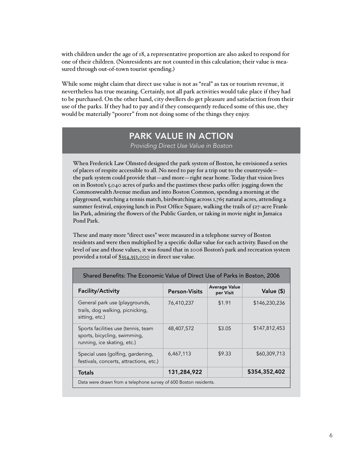with children under the age of 18, a representative proportion are also asked to respond for one of their children. (Nonresidents are not counted in this calculation; their value is measured through out-of-town tourist spending.)

While some might claim that direct use value is not as "real" as tax or tourism revenue, it nevertheless has true meaning. Certainly, not all park activities would take place if they had to be purchased. On the other hand, city dwellers do get pleasure and satisfaction from their use of the parks. If they had to pay and if they consequently reduced some of this use, they would be materially "poorer" from not doing some of the things they enjoy.

#### PARK VALUE IN ACTION

*Providing Direct Use Value in Boston*

When Frederick Law Olmsted designed the park system of Boston, he envisioned a series of places of respite accessible to all. No need to pay for a trip out to the countryside the park system could provide that—and more—right near home. Today that vision lives on in Boston's 5,040 acres of parks and the pastimes these parks offer: jogging down the Commonwealth Avenue median and into Boston Common, spending a morning at the playground, watching a tennis match, birdwatching across 1,765 natural acres, attending a summer festival, enjoying lunch in Post Office Square, walking the trails of 527-acre Franklin Park, admiring the flowers of the Public Garden, or taking in movie night in Jamaica Pond Park.

These and many more "direct uses" were measured in a telephone survey of Boston residents and were then multiplied by a specific dollar value for each activity. Based on the level of use and those values, it was found that in 2006 Boston's park and recreation system provided a total of \$354,352,000 in direct use value.

| Shared Benefits: The Economic Value of Direct Use of Parks in Boston, 2006                         |                      |                                   |               |
|----------------------------------------------------------------------------------------------------|----------------------|-----------------------------------|---------------|
| <b>Facility/Activity</b>                                                                           | <b>Person-Visits</b> | <b>Average Value</b><br>per Visit | Value (\$)    |
| General park use (playgrounds,<br>trails, dog walking, picnicking,<br>sitting, etc.)               | 76,410,237           | \$1.91                            | \$146,230,236 |
| Sports facilities use (tennis, team<br>sports, bicycling, swimming,<br>running, ice skating, etc.) | 48,407,572           | \$3.05                            | \$147,812,453 |
| Special uses (golfing, gardening,<br>festivals, concerts, attractions, etc.)                       | 6,467,113            | \$9.33                            | \$60,309,713  |
| <b>Totals</b>                                                                                      | 131,284,922          |                                   | \$354,352,402 |
| Data were drawn from a telephone survey of 600 Boston residents.                                   |                      |                                   |               |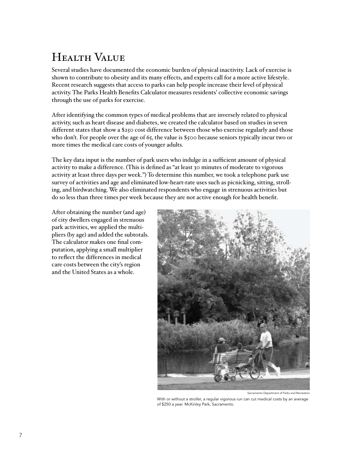# Health Value

Several studies have documented the economic burden of physical inactivity. Lack of exercise is shown to contribute to obesity and its many effects, and experts call for a more active lifestyle. Recent research suggests that access to parks can help people increase their level of physical activity. The Parks Health Benefits Calculator measures residents' collective economic savings through the use of parks for exercise.

After identifying the common types of medical problems that are inversely related to physical activity, such as heart disease and diabetes, we created the calculator based on studies in seven different states that show a \$250 cost difference between those who exercise regularly and those who don't. For people over the age of 65, the value is \$500 because seniors typically incur two or more times the medical care costs of younger adults.

The key data input is the number of park users who indulge in a sufficient amount of physical activity to make a difference. (This is defined as "at least 30 minutes of moderate to vigorous activity at least three days per week.") To determine this number, we took a telephone park use survey of activities and age and eliminated low-heart-rate uses such as picnicking, sitting, strolling, and birdwatching. We also eliminated respondents who engage in strenuous activities but do so less than three times per week because they are not active enough for health benefit.

After obtaining the number (and age) of city dwellers engaged in strenuous park activities, we applied the multipliers (by age) and added the subtotals. The calculator makes one final computation, applying a small multiplier to reflect the differences in medical care costs between the city's region and the United States as a whole.



Sacramento Department of Parks and Recreation

With or without a stroller, a regular vigorous run can cut medical costs by an average of \$250 a year. McKinley Park, Sacramento.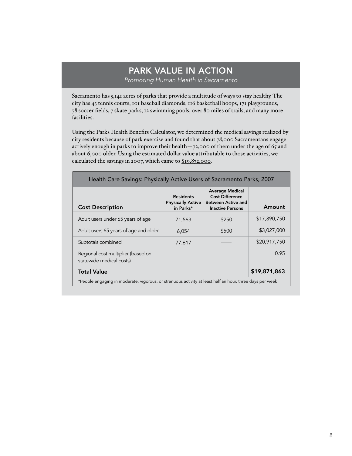#### PARK VALUE IN ACTION *Promoting Human Health in Sacramento*

Sacramento has 5,141 acres of parks that provide a multitude of ways to stay healthy. The city has 43 tennis courts, 101 baseball diamonds, 116 basketball hoops, 171 playgrounds, 78 soccer fields, 7 skate parks, 12 swimming pools, over 80 miles of trails, and many more facilities.

Using the Parks Health Benefits Calculator, we determined the medical savings realized by city residents because of park exercise and found that about 78,000 Sacramentans engage actively enough in parks to improve their health—72,000 of them under the age of 65 and about 6,000 older. Using the estimated dollar value attributable to those activities, we calculated the savings in 2007, which came to \$19,872,000.

| Health Care Savings: Physically Active Users of Sacramento Parks, 2007                                   |                                                           |                                                                                                          |              |
|----------------------------------------------------------------------------------------------------------|-----------------------------------------------------------|----------------------------------------------------------------------------------------------------------|--------------|
| <b>Cost Description</b>                                                                                  | <b>Residents</b><br><b>Physically Active</b><br>in Parks* | <b>Average Medical</b><br><b>Cost Difference</b><br><b>Between Active and</b><br><b>Inactive Persons</b> | Amount       |
| Adult users under 65 years of age                                                                        | 71,563                                                    | \$250                                                                                                    | \$17,890,750 |
| Adult users 65 years of age and older                                                                    | 6,054                                                     | \$500                                                                                                    | \$3,027,000  |
| Subtotals combined                                                                                       | 77,617                                                    |                                                                                                          | \$20,917,750 |
| Regional cost multiplier (based on<br>statewide medical costs)                                           |                                                           |                                                                                                          | 0.95         |
| <b>Total Value</b>                                                                                       |                                                           |                                                                                                          | \$19,871,863 |
| *People engaging in moderate, vigorous, or strenuous activity at least half an hour, three days per week |                                                           |                                                                                                          |              |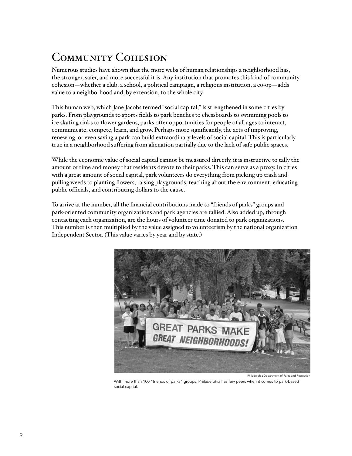# COMMUNITY COHESION

Numerous studies have shown that the more webs of human relationships a neighborhood has, the stronger, safer, and more successful it is. Any institution that promotes this kind of community cohesion—whether a club, a school, a political campaign, a religious institution, a co-op—adds value to a neighborhood and, by extension, to the whole city.

This human web, which Jane Jacobs termed "social capital," is strengthened in some cities by parks. From playgrounds to sports fields to park benches to chessboards to swimming pools to ice skating rinks to flower gardens, parks offer opportunities for people of all ages to interact, communicate, compete, learn, and grow. Perhaps more significantly, the acts of improving, renewing, or even saving a park can build extraordinary levels of social capital. This is particularly true in a neighborhood suffering from alienation partially due to the lack of safe public spaces.

While the economic value of social capital cannot be measured directly, it is instructive to tally the amount of time and money that residents devote to their parks. This can serve as a proxy. In cities with a great amount of social capital, park volunteers do everything from picking up trash and pulling weeds to planting flowers, raising playgrounds, teaching about the environment, educating public officials, and contributing dollars to the cause.

To arrive at the number, all the financial contributions made to "friends of parks" groups and park-oriented community organizations and park agencies are tallied. Also added up, through contacting each organization, are the hours of volunteer time donated to park organizations. This number is then multiplied by the value assigned to volunteerism by the national organization Independent Sector. (This value varies by year and by state.)



Philadelphia Department of Parks and Recre

With more than 100 "friends of parks" groups, Philadelphia has few peers when it comes to park-based social capital.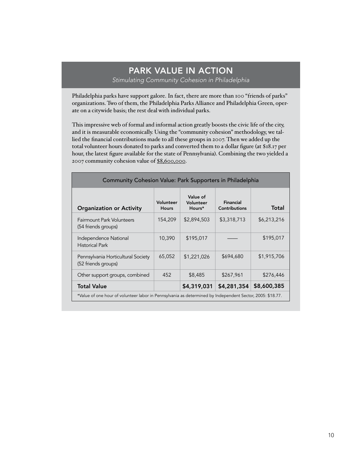#### PARK VALUE IN ACTION *Stimulating Community Cohesion in Philadelphia*

Philadelphia parks have support galore. In fact, there are more than 100 "friends of parks" organizations. Two of them, the Philadelphia Parks Alliance and Philadelphia Green, operate on a citywide basis; the rest deal with individual parks.

This impressive web of formal and informal action greatly boosts the civic life of the city, and it is measurable economically. Using the "community cohesion" methodology, we tallied the financial contributions made to all these groups in 2007. Then we added up the total volunteer hours donated to parks and converted them to a dollar figure (at \$18.17 per hour, the latest figure available for the state of Pennsylvania). Combining the two yielded a 2007 community cohesion value of \$8,600,000.

| Community Cohesion Value: Park Supporters in Philadelphia                                                 |                           |                                 |                                   |             |
|-----------------------------------------------------------------------------------------------------------|---------------------------|---------------------------------|-----------------------------------|-------------|
| <b>Organization or Activity</b>                                                                           | Volunteer<br><b>Hours</b> | Value of<br>Volunteer<br>Hours* | Financial<br><b>Contributions</b> | Total       |
| Fairmount Park Volunteers<br>(54 friends groups)                                                          | 154,209                   | \$2,894,503                     | \$3,318,713                       | \$6,213,216 |
| Independence National<br><b>Historical Park</b>                                                           | 10,390                    | \$195,017                       |                                   | \$195,017   |
| Pennsylvania Horticultural Society<br>(52 friends groups)                                                 | 65,052                    | \$1,221,026                     | \$694,680                         | \$1,915,706 |
| Other support groups, combined                                                                            | 452                       | \$8,485                         | \$267,961                         | \$276,446   |
| <b>Total Value</b>                                                                                        |                           | \$4,319,031                     | \$4,281,354                       | \$8,600,385 |
| *Value of one hour of volunteer labor in Pennsylvania as determined by Independent Sector, 2005: \$18.77. |                           |                                 |                                   |             |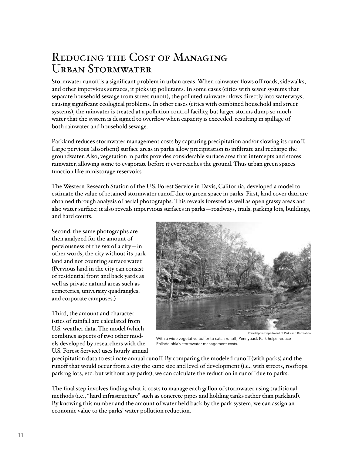### Reducing the Cost of Managing Urban Stormwater

Stormwater runoff is a significant problem in urban areas. When rainwater flows off roads, sidewalks, and other impervious surfaces, it picks up pollutants. In some cases (cities with sewer systems that separate household sewage from street runoff), the polluted rainwater flows directly into waterways, causing significant ecological problems. In other cases (cities with combined household and street systems), the rainwater is treated at a pollution control facility, but larger storms dump so much water that the system is designed to overflow when capacity is exceeded, resulting in spillage of both rainwater and household sewage.

Parkland reduces stormwater management costs by capturing precipitation and/or slowing its runoff. Large pervious (absorbent) surface areas in parks allow precipitation to infiltrate and recharge the groundwater. Also, vegetation in parks provides considerable surface area that intercepts and stores rainwater, allowing some to evaporate before it ever reaches the ground. Thus urban green spaces function like ministorage reservoirs.

The Western Research Station of the U.S. Forest Service in Davis, California, developed a model to estimate the value of retained stormwater runoff due to green space in parks. First, land cover data are obtained through analysis of aerial photographs. This reveals forested as well as open grassy areas and also water surface; it also reveals impervious surfaces in parks—roadways, trails, parking lots, buildings, and hard courts.

Second, the same photographs are then analyzed for the amount of perviousness of the *rest* of a city—in other words, the city without its parkland and not counting surface water. (Pervious land in the city can consist of residential front and back yards as well as private natural areas such as cemeteries, university quadrangles, and corporate campuses.)

Third, the amount and characteristics of rainfall are calculated from U.S. weather data. The model (which combines aspects of two other models developed by researchers with the U.S. Forest Service) uses hourly annual



Philadelphia Department of Parks and Rec

With a wide vegetative buffer to catch runoff, Pennypack Park helps reduce Philadelphia's stormwater management costs.

precipitation data to estimate annual runoff. By comparing the modeled runoff (with parks) and the runoff that would occur from a city the same size and level of development (i.e., with streets, rooftops, parking lots, etc. but without any parks), we can calculate the reduction in runoff due to parks.

The final step involves finding what it costs to manage each gallon of stormwater using traditional methods (i.e., "hard infrastructure" such as concrete pipes and holding tanks rather than parkland). By knowing this number and the amount of water held back by the park system, we can assign an economic value to the parks' water pollution reduction.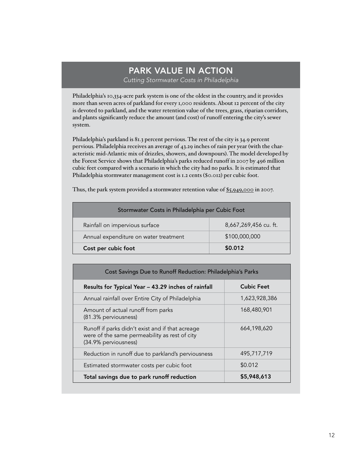#### PARK VALUE IN ACTION *Cutting Stormwater Costs in Philadelphia*

Philadelphia's 10,334-acre park system is one of the oldest in the country, and it provides more than seven acres of parkland for every 1,000 residents. About 12 percent of the city is devoted to parkland, and the water retention value of the trees, grass, riparian corridors, and plants significantly reduce the amount (and cost) of runoff entering the city's sewer system.

Philadelphia's parkland is 81.3 percent pervious. The rest of the city is 34.9 percent pervious. Philadelphia receives an average of 43.29 inches of rain per year (with the characteristic mid-Atlantic mix of drizzles, showers, and downpours). The model developed by the Forest Service shows that Philadelphia's parks reduced runoff in 2007 by 496 million cubic feet compared with a scenario in which the city had no parks. It is estimated that Philadelphia stormwater management cost is 1.2 cents (\$0.012) per cubic foot.

Thus, the park system provided a stormwater retention value of \$5,949,000 in 2007.

| Stormwater Costs in Philadelphia per Cubic Foot |                       |  |  |
|-------------------------------------------------|-----------------------|--|--|
| Rainfall on impervious surface                  | 8,667,269,456 cu. ft. |  |  |
| Annual expenditure on water treatment           | \$100,000,000         |  |  |
| Cost per cubic foot                             | \$0.012               |  |  |

| Cost Savings Due to Runoff Reduction: Philadelphia's Parks                                                                |                   |  |  |
|---------------------------------------------------------------------------------------------------------------------------|-------------------|--|--|
| Results for Typical Year - 43.29 inches of rainfall                                                                       | <b>Cubic Feet</b> |  |  |
| Annual rainfall over Entire City of Philadelphia                                                                          | 1,623,928,386     |  |  |
| Amount of actual runoff from parks<br>(81.3% perviousness)                                                                | 168,480,901       |  |  |
| Runoff if parks didn't exist and if that acreage<br>were of the same permeability as rest of city<br>(34.9% perviousness) | 664,198,620       |  |  |
| Reduction in runoff due to parkland's perviousness                                                                        | 495,717,719       |  |  |
| Estimated stormwater costs per cubic foot                                                                                 | \$0.012           |  |  |
| Total savings due to park runoff reduction                                                                                | \$5,948,613       |  |  |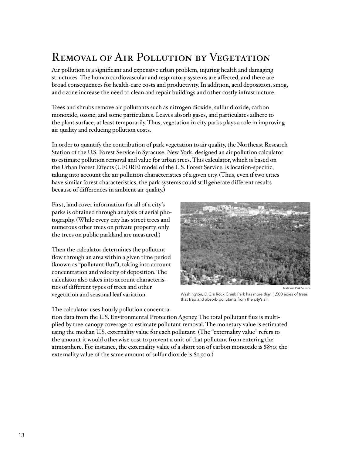### REMOVAL OF AIR POLLUTION BY VEGETATION

Air pollution is a significant and expensive urban problem, injuring health and damaging structures. The human cardiovascular and respiratory systems are affected, and there are broad consequences for health-care costs and productivity. In addition, acid deposition, smog, and ozone increase the need to clean and repair buildings and other costly infrastructure.

Trees and shrubs remove air pollutants such as nitrogen dioxide, sulfur dioxide, carbon monoxide, ozone, and some particulates. Leaves absorb gases, and particulates adhere to the plant surface, at least temporarily. Thus, vegetation in city parks plays a role in improving air quality and reducing pollution costs.

In order to quantify the contribution of park vegetation to air quality, the Northeast Research Station of the U.S. Forest Service in Syracuse, New York, designed an air pollution calculator to estimate pollution removal and value for urban trees. This calculator, which is based on the Urban Forest Effects (UFORE) model of the U.S. Forest Service, is location-specific, taking into account the air pollution characteristics of a given city. (Thus, even if two cities have similar forest characteristics, the park systems could still generate different results because of differences in ambient air quality.)

First, land cover information for all of a city's parks is obtained through analysis of aerial photography. (While every city has street trees and numerous other trees on private property, only the trees on public parkland are measured.)

Then the calculator determines the pollutant flow through an area within a given time period (known as "pollutant flux"), taking into account concentration and velocity of deposition. The calculator also takes into account characteristics of different types of trees and other vegetation and seasonal leaf variation.

National Park Service

Washington, D.C.'s Rock Creek Park has more than 1,500 acres of trees that trap and absorb pollutants from the city's air.

The calculator uses hourly pollution concentra-

tion data from the U.S. Environmental Protection Agency. The total pollutant flux is multiplied by tree-canopy coverage to estimate pollutant removal. The monetary value is estimated using the median U.S. externality value for each pollutant. (The "externality value" refers to the amount it would otherwise cost to prevent a unit of that pollutant from entering the atmosphere. For instance, the externality value of a short ton of carbon monoxide is \$870; the externality value of the same amount of sulfur dioxide is \$1,500.)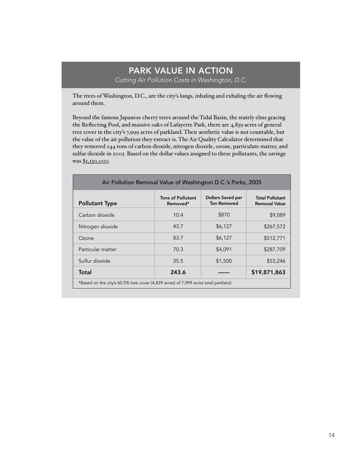#### PARK VALUE IN ACTION *Cutting Air Pollution Costs in Washington, D.C.*

The trees of Washington, D.C., are the city's lungs, inhaling and exhaling the air flowing around them.

Beyond the famous Japanese cherry trees around the Tidal Basin, the stately elms gracing the Reflecting Pool, and massive oaks of Lafayette Park, there are 4,839 acres of general tree cover in the city's 7,999 acres of parkland. Their aesthetic value is not countable, but the value of the air pollution they extract is. The Air Quality Calculator determined that they removed 244 tons of carbon dioxide, nitrogen dioxide, ozone, particulate matter, and sulfur dioxide in 2005. Based on the dollar values assigned to these pollutants, the savings was \$1,130,000.

| Air Pollution Removal Value of Washington D.C.'s Parks, 2005                       |                                      |                                         |                                                |
|------------------------------------------------------------------------------------|--------------------------------------|-----------------------------------------|------------------------------------------------|
| <b>Pollutant Type</b>                                                              | <b>Tons of Pollutant</b><br>Removed* | Dollars Saved per<br><b>Ton Removed</b> | <b>Total Pollutant</b><br><b>Removal Value</b> |
| Carbon dioxide                                                                     | 10.4                                 | \$870                                   | \$9,089                                        |
| Nitrogen dioxide                                                                   | 43.7                                 | \$6,127                                 | \$267,572                                      |
| Ozone                                                                              | 83.7                                 | \$6,127                                 | \$512,771                                      |
| Particular matter                                                                  | 70.3                                 | \$4,091                                 | \$287,709                                      |
| Sulfur dioxide                                                                     | 35.5                                 | \$1,500                                 | \$53,246                                       |
| Total                                                                              | 243.6                                |                                         | \$19,871,863                                   |
| *Based on the city's 60.5% tree cover (4,839 acres) of 7,999 acres total parkland. |                                      |                                         |                                                |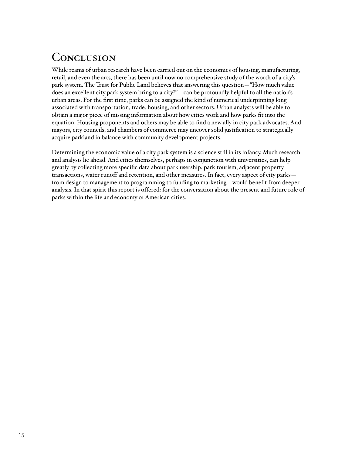### CONCLUSION

While reams of urban research have been carried out on the economics of housing, manufacturing, retail, and even the arts, there has been until now no comprehensive study of the worth of a city's park system. The Trust for Public Land believes that answering this question—"How much value does an excellent city park system bring to a city?"—can be profoundly helpful to all the nation's urban areas. For the first time, parks can be assigned the kind of numerical underpinning long associated with transportation, trade, housing, and other sectors. Urban analysts will be able to obtain a major piece of missing information about how cities work and how parks fit into the equation. Housing proponents and others may be able to find a new ally in city park advocates. And mayors, city councils, and chambers of commerce may uncover solid justification to strategically acquire parkland in balance with community development projects.

Determining the economic value of a city park system is a science still in its infancy. Much research and analysis lie ahead. And cities themselves, perhaps in conjunction with universities, can help greatly by collecting more specific data about park usership, park tourism, adjacent property transactions, water runoff and retention, and other measures. In fact, every aspect of city parks from design to management to programming to funding to marketing—would benefit from deeper analysis. In that spirit this report is offered: for the conversation about the present and future role of parks within the life and economy of American cities.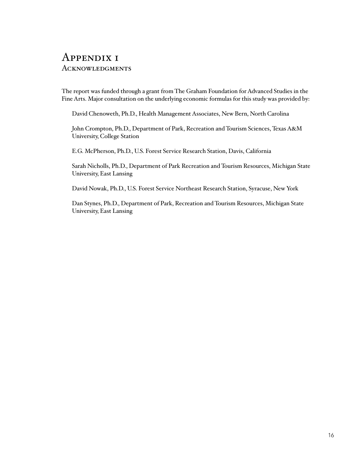### Appendix 1 **ACKNOWLEDGMENTS**

The report was funded through a grant from The Graham Foundation for Advanced Studies in the Fine Arts. Major consultation on the underlying economic formulas for this study was provided by:

David Chenoweth, Ph.D., Health Management Associates, New Bern, North Carolina

John Crompton, Ph.D., Department of Park, Recreation and Tourism Sciences, Texas A&M University, College Station

E.G. McPherson, Ph.D., U.S. Forest Service Research Station, Davis, California

Sarah Nicholls, Ph.D., Department of Park Recreation and Tourism Resources, Michigan State University, East Lansing

David Nowak, Ph.D., U.S. Forest Service Northeast Research Station, Syracuse, New York

Dan Stynes, Ph.D., Department of Park, Recreation and Tourism Resources, Michigan State University, East Lansing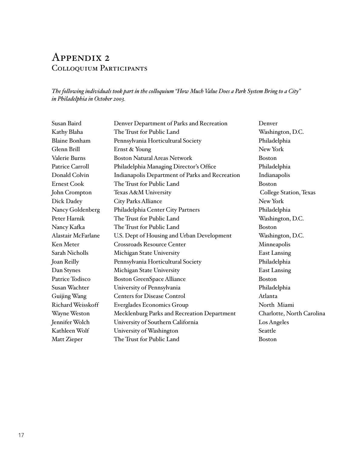### Appendix 2 Colloquium Participants

*The following individuals took part in the colloquium "How Much Value Does a Park System Bring to a City" in Philadelphia in October 2003.*

| Susan Baird               | Denver Department of Parks and Recreation       | Denver                    |
|---------------------------|-------------------------------------------------|---------------------------|
| Kathy Blaha               | The Trust for Public Land                       | Washington, D.C.          |
| <b>Blaine Bonham</b>      | Pennsylvania Horticultural Society              | Philadelphia              |
| Glenn Brill               | Ernst & Young                                   | New York                  |
| Valerie Burns             | <b>Boston Natural Areas Network</b>             | <b>Boston</b>             |
| <b>Patrice Carroll</b>    | Philadelphia Managing Director's Office         | Philadelphia              |
| Donald Colvin             | Indianapolis Department of Parks and Recreation | Indianapolis              |
| <b>Ernest Cook</b>        | The Trust for Public Land                       | <b>Boston</b>             |
| John Crompton             | Texas A&M University                            | College Station, Texas    |
| Dick Dadey                | City Parks Alliance                             | New York                  |
| Nancy Goldenberg          | Philadelphia Center City Partners               | Philadelphia              |
| Peter Harnik              | The Trust for Public Land                       | Washington, D.C.          |
| Nancy Kafka               | The Trust for Public Land                       | <b>Boston</b>             |
| <b>Alastair McFarlane</b> | U.S. Dept of Housing and Urban Development      | Washington, D.C.          |
| Ken Meter                 | <b>Crossroads Resource Center</b>               | Minneapolis               |
| <b>Sarah Nicholls</b>     | Michigan State University                       | <b>East Lansing</b>       |
| Joan Reilly               | Pennsylvania Horticultural Society              | Philadelphia              |
| Dan Stynes                | Michigan State University                       | <b>East Lansing</b>       |
| Patrice Todisco           | <b>Boston GreenSpace Alliance</b>               | <b>Boston</b>             |
| Susan Wachter             | University of Pennsylvania                      | Philadelphia              |
| Guijing Wang              | <b>Centers for Disease Control</b>              | Atlanta                   |
| Richard Weisskoff         | <b>Everglades Economics Group</b>               | North Miami               |
| Wayne Weston              | Mecklenburg Parks and Recreation Department     | Charlotte, North Carolina |
| Jennifer Wolch            | University of Southern California               | Los Angeles               |
| Kathleen Wolf             | University of Washington                        | Seattle                   |
| Matt Zieper               | The Trust for Public Land                       | <b>Boston</b>             |
|                           |                                                 |                           |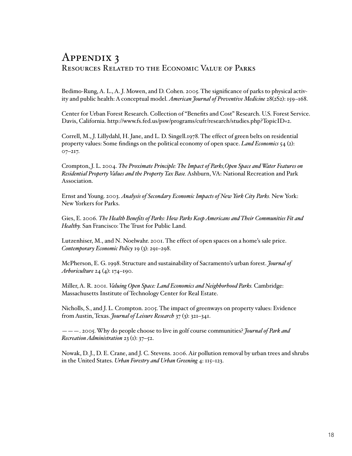### Appendix 3 Resources Related to the Economic Value of Parks

Bedimo-Rung, A. L., A. J. Mowen, and D. Cohen. 2005. The significance of parks to physical activity and public health: A conceptual model. *American Journal of Preventive Medicine* 28(2S2): 159–168.

Center for Urban Forest Research. Collection of "Benefits and Cost" Research. U.S. Forest Service. Davis, California. http://www.fs.fed.us/psw/programs/cufr/research/studies.php?TopicID=2.

Correll, M., J. Lillydahl, H. Jane, and L. D. Singell.1978. The effect of green belts on residential property values: Some findings on the political economy of open space. *Land Economics* 54 (2): 07–217.

Crompton, J. L. 2004. *The Proximate Principle: The Impact of Parks,Open Space and Water Features on Residential Property Values and the Property Tax Base.* Ashburn, VA: National Recreation and Park Association.

Ernst and Young. 2003. *Analysis of Secondary Economic Impacts of New York City Parks.* New York: New Yorkers for Parks.

Gies, E. 2006. *The Health Benefits of Parks: How Parks Keep Americans and Their Communities Fit and Healthy.* San Francisco: The Trust for Public Land.

Lutzenhiser, M., and N. Noelwahr. 2001. The effect of open spaces on a home's sale price. *Contemporary Economic Policy* 19 (3): 291–298.

McPherson, E. G. 1998. Structure and sustainability of Sacramento's urban forest. *Journal of Arboriculture* 24 (4): 174–190.

Miller, A. R. 2001. *Valuing Open Space: Land Economics and Neighborhood Parks.* Cambridge: Massachusetts Institute of Technology Center for Real Estate.

Nicholls, S., and J. L. Crompton. 2005. The impact of greenways on property values: Evidence from Austin, Texas. *Journal of Leisure Research* 37 (3): 321–341.

———. 2005. Why do people choose to live in golf course communities? *Journal of Park and Recreation Administration* 23 (1): 37–52.

Nowak, D. J., D. E. Crane, and J. C. Stevens. 2006. Air pollution removal by urban trees and shrubs in the United States. *Urban Forestry and Urban Greening* 4: 115–123.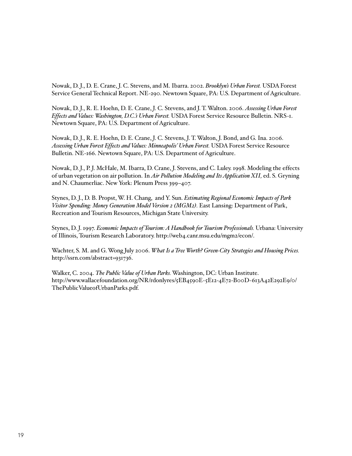Nowak, D. J., D. E. Crane, J. C. Stevens, and M. Ibarra. 2002. *Brooklyn's Urban Forest.* USDA Forest Service General Technical Report. NE-290. Newtown Square, PA: U.S. Department of Agriculture.

Nowak, D. J., R. E. Hoehn, D. E. Crane, J. C. Stevens, and J. T. Walton. 2006. *Assessing Urban Forest Effects and Values: Washington, D.C.'s Urban Forest.* USDA Forest Service Resource Bulletin. NRS-1. Newtown Square, PA: U.S. Department of Agriculture.

Nowak, D. J., R. E. Hoehn, D. E. Crane, J. C. Stevens, J. T. Walton, J. Bond, and G. Ina. 2006. *Assessing Urban Forest Effects and Values: Minneapolis' Urban Forest.* USDA Forest Service Resource Bulletin. NE-166. Newtown Square, PA: U.S. Department of Agriculture.

Nowak, D. J., P. J. McHale, M. Ibarra, D. Crane, J. Stevens, and C. Luley. 1998. Modeling the effects of urban vegetation on air pollution. In *Air Pollution Modeling and Its Application XII,* ed. S. Gryning and N. Chaumerliac. New York: Plenum Press 399–407.

Stynes, D. J., D. B. Propst, W. H. Chang, and Y. Sun. *Estimating Regional Economic Impacts of Park Visitor Spending: Money Generation Model Version 2 (MGM2).* East Lansing: Department of Park, Recreation and Tourism Resources, Michigan State University.

Stynes, D. J. 1997. *Economic Impacts of Tourism: A Handbook for Tourism Professionals.* Urbana: University of Illinois, Tourism Research Laboratory. http://web4.canr.msu.edu/mgm2/econ/.

Wachter, S. M. and G. Wong July 2006. *What Is a Tree Worth? Green-City Strategies and Housing Prices.* http://ssrn.com/abstract=931736.

Walker, C. 2004. *The Public Value of Urban Parks.* Washington, DC: Urban Institute. http://www.wallacefoundation.org/NR/rdonlyres/5EB4590E-5E12-4E72-B00D-613A42E292E9/0/ ThePublicValueofUrbanParks.pdf.